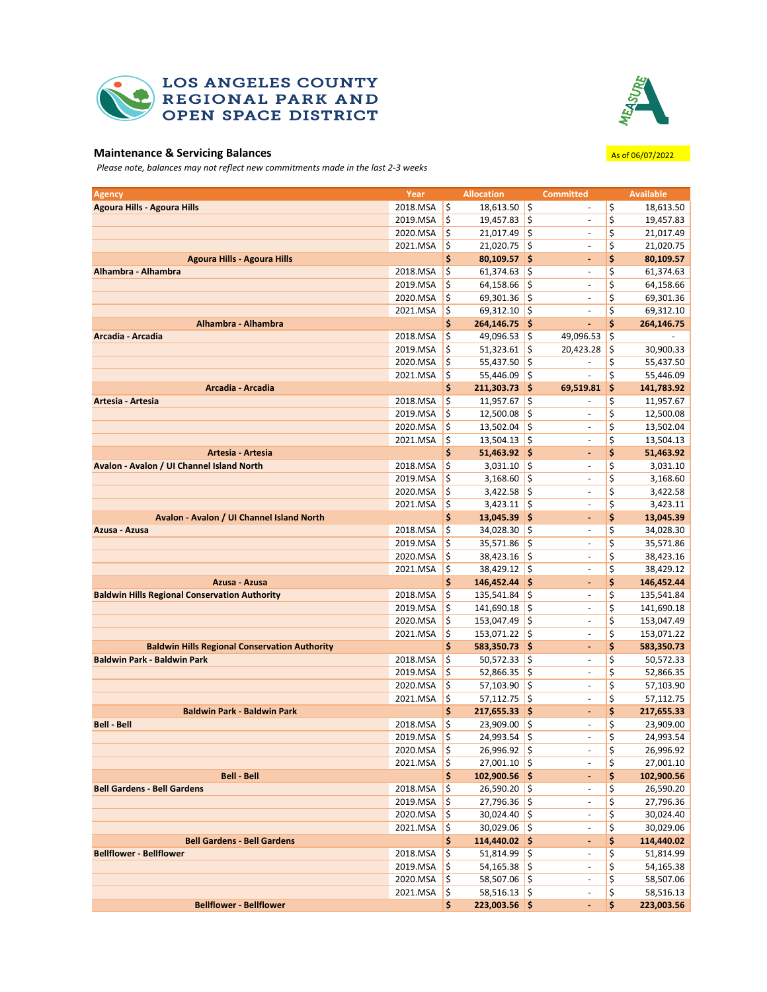

## **LOS ANGELES COUNTY** REGIONAL PARK AND OPEN SPACE DISTRICT



## **Maintenance & Servicing Balances** Associates As of 06/07/2022

*Please note, balances may not reflect new commitments made in the last 2-3 weeks*

| <b>Agency</b>                                            | Year                 |          | <b>Allocation</b>               |          | <b>Committed</b>             |          | <b>Available</b>       |
|----------------------------------------------------------|----------------------|----------|---------------------------------|----------|------------------------------|----------|------------------------|
| <b>Agoura Hills - Agoura Hills</b>                       | 2018.MSA             | \$       | $18,613.50$ \$                  |          | ä,                           | \$       | 18,613.50              |
|                                                          | 2019.MSA             | \$       | 19,457.83                       | \$       |                              | \$       | 19,457.83              |
|                                                          | 2020.MSA             | \$       | 21,017.49                       | \$       | ä,                           | \$       | 21,017.49              |
|                                                          | 2021.MSA             | \$       | $21,020.75$ \$                  |          | $\blacksquare$               | \$       | 21,020.75              |
| <b>Agoura Hills - Agoura Hills</b>                       |                      | \$       | $80,109.57$ \$                  |          | ä,                           | \$       | 80,109.57              |
| Alhambra - Alhambra                                      | 2018.MSA             | \$       | 61,374.63                       | ¦\$      | ÷,                           | \$       | 61,374.63              |
|                                                          | 2019.MSA             | \$       | 64,158.66                       | \$       | $\overline{\phantom{a}}$     | \$       | 64,158.66              |
|                                                          | 2020.MSA             | \$       | 69,301.36 \$                    |          | ä,                           | \$       | 69,301.36              |
|                                                          | 2021.MSA             | \$       | $69,312.10$ \$                  |          |                              | \$       | 69,312.10              |
| Alhambra - Alhambra                                      |                      | \$       | 264,146.75 \$                   |          | ä,                           | \$       | 264,146.75             |
| Arcadia - Arcadia                                        | 2018.MSA             | \$       | $49,096.53$ \$                  |          | 49,096.53                    | \$       |                        |
|                                                          | 2019.MSA             | \$       | 51,323.61                       | \$       | 20,423.28                    | \$       | 30,900.33              |
|                                                          | 2020.MSA             | \$       | 55,437.50                       | ¦\$      |                              | \$       | 55,437.50              |
|                                                          | 2021.MSA             | \$       | 55,446.09 \$                    |          | $\blacksquare$               | \$       | 55,446.09              |
| Arcadia - Arcadia                                        |                      | \$       | 211,303.73 \$                   |          | 69,519.81                    | \$       | 141,783.92             |
| Artesia - Artesia                                        | 2018.MSA<br>2019.MSA | \$<br>\$ | 11,957.67                       | \$<br>\$ | ÷,                           | \$       | 11,957.67              |
|                                                          | 2020.MSA             | \$       | 12,500.08                       | \$       | $\blacksquare$               | \$<br>\$ | 12,500.08              |
|                                                          | 2021.MSA             | \$       | 13,502.04<br>13,504.13          | \$       | $\blacksquare$               | \$       | 13,502.04<br>13,504.13 |
| Artesia - Artesia                                        |                      | \$       | 51,463.92                       | ∣\$      | ä,                           | \$       | 51,463.92              |
| Avalon - Avalon / UI Channel Island North                | 2018.MSA             | \$       | $3,031.10$ \$                   |          | ÷.                           | \$       | 3,031.10               |
|                                                          | 2019.MSA             | \$       | $3,168.60$ \$                   |          | ä,                           | \$       | 3,168.60               |
|                                                          | 2020.MSA             | \$       | $3,422.58$ \$                   |          | ٠                            | \$       | 3,422.58               |
|                                                          | 2021.MSA             | \$       | $3,423.11$ \$                   |          | $\blacksquare$               | \$       | 3,423.11               |
| Avalon - Avalon / UI Channel Island North                |                      | \$       | 13,045.39 \$                    |          | ٠                            | \$       | 13,045.39              |
| Azusa - Azusa                                            | 2018.MSA             | \$       | 34,028.30 \$                    |          | $\blacksquare$               | \$       | 34,028.30              |
|                                                          | 2019.MSA             | \$       | 35,571.86                       | \$       |                              | \$       | 35,571.86              |
|                                                          | 2020.MSA             | \$       | 38,423.16 \$                    |          | ä,                           | \$       | 38,423.16              |
|                                                          | 2021.MSA             | \$       | 38,429.12 \$                    |          | $\blacksquare$               | \$       | 38,429.12              |
| Azusa - Azusa                                            |                      | \$       | 146,452.44 \$                   |          | ä,                           | \$       | 146,452.44             |
| <b>Baldwin Hills Regional Conservation Authority</b>     | 2018.MSA             | \$       | 135,541.84                      | ۱\$      | ÷,                           | \$       | 135,541.84             |
|                                                          | 2019.MSA             | \$       | 141,690.18                      | \$       | $\overline{\phantom{a}}$     | \$       | 141,690.18             |
|                                                          | 2020.MSA             | \$       | 153,047.49 \$                   |          | $\overline{\phantom{a}}$     | \$       | 153,047.49             |
|                                                          | 2021.MSA             | \$       | 153,071.22                      | \$       |                              | \$       | 153,071.22             |
| <b>Baldwin Hills Regional Conservation Authority</b>     |                      | \$       | 583,350.73 \$                   |          | $\qquad \qquad \blacksquare$ | \$       | 583,350.73             |
| <b>Baldwin Park - Baldwin Park</b>                       | 2018.MSA             | \$       | $50,572.33$ \$                  |          | ä,                           | \$       | 50,572.33              |
|                                                          | 2019.MSA             | \$       | 52,866.35                       | \$       | $\blacksquare$               | \$       | 52,866.35              |
|                                                          | 2020.MSA             | \$       | 57,103.90                       | ¦\$      | ä,                           | \$       | 57,103.90              |
|                                                          | 2021.MSA             | \$       | $57,112.75$ \$                  |          | $\blacksquare$               | \$       | 57,112.75              |
| <b>Baldwin Park - Baldwin Park</b><br><b>Bell - Bell</b> |                      | \$       | $217,655.33$ \$<br>23,909.00 \$ |          | $\qquad \qquad \blacksquare$ | \$       | 217,655.33             |
|                                                          | 2018.MSA<br>2019.MSA | \$<br>\$ | 24,993.54                       | \$       | ÷,                           | \$<br>\$ | 23,909.00<br>24,993.54 |
|                                                          | 2020.MSA             | \$       | $26,996.92$ \$                  |          | $\overline{\phantom{m}}$     | \$       | 26,996.92              |
|                                                          | 2021.MSA             | \$       | $27,001.10$ \$                  |          | $\overline{\phantom{a}}$     | \$       | 27,001.10              |
| <b>Bell - Bell</b>                                       |                      | \$       | $102,900.56$ \$                 |          | ٠                            | \$       | 102,900.56             |
| <b>Bell Gardens - Bell Gardens</b>                       | 2018.MSA             | \$       | $26,590.20$ \$                  |          | $\blacksquare$               | \$       | 26,590.20              |
|                                                          | 2019.MSA             | \$       | $27,796.36$ \$                  |          | $\overline{\phantom{a}}$     | \$       | 27,796.36              |
|                                                          | 2020.MSA             | \$       | $30,024.40$ \$                  |          |                              | \$       | 30,024.40              |
|                                                          | 2021.MSA             | \$       | $30,029.06$ \$                  |          | ÷,                           | \$       | 30,029.06              |
| <b>Bell Gardens - Bell Gardens</b>                       |                      | \$       | $114,440.02$ \$                 |          | ۰                            | \$       | 114,440.02             |
| <b>Bellflower - Bellflower</b>                           | 2018.MSA             | \$       | $51,814.99$ \$                  |          | $\overline{\phantom{a}}$     | \$       | 51,814.99              |
|                                                          | 2019.MSA             | \$       | $54,165.38$ \$                  |          |                              | \$       | 54,165.38              |
|                                                          | 2020.MSA             | \$       | $58,507.06$ \$                  |          | $\blacksquare$               | \$       | 58,507.06              |
|                                                          | 2021.MSA             | \$       | $58,516.13$ \$                  |          | $\frac{1}{2}$                | \$       | 58,516.13              |
| <b>Bellflower - Bellflower</b>                           |                      | \$       | 223,003.56 \$                   |          | ٠                            | \$       | 223,003.56             |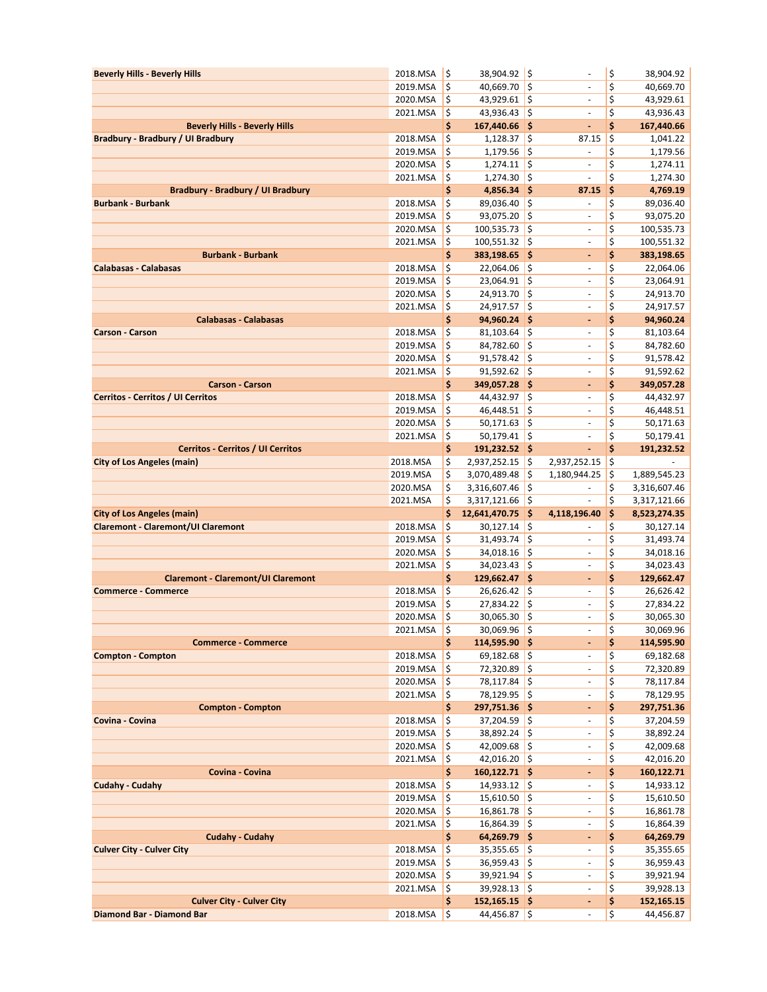| <b>Beverly Hills - Beverly Hills</b>                                      | 2018.MSA             | $\zeta$             | 38,904.92 \$                     |          | $\overline{\phantom{a}}$                   | \$       | 38,904.92               |
|---------------------------------------------------------------------------|----------------------|---------------------|----------------------------------|----------|--------------------------------------------|----------|-------------------------|
|                                                                           | 2019.MSA             | $\zeta$             | 40,669.70                        | ¦\$      | ÷,                                         | \$       | 40,669.70               |
|                                                                           | 2020.MSA             | $\zeta$             | 43,929.61 \$                     |          | $\overline{\phantom{a}}$                   | \$       | 43,929.61               |
|                                                                           | 2021.MSA             | \$                  | $43,936.43$ \$                   |          | $\overline{\phantom{a}}$                   | \$       | 43,936.43               |
| <b>Beverly Hills - Beverly Hills</b><br>Bradbury - Bradbury / UI Bradbury |                      | \$<br>\$            | 167,440.66 \$                    |          | ٠                                          | \$<br>\$ | 167,440.66              |
|                                                                           | 2018.MSA<br>2019.MSA | \$                  | 1,128.37<br>1,179.56             | \$<br>\$ | 87.15<br>$\blacksquare$                    | \$       | 1,041.22<br>1,179.56    |
|                                                                           | 2020.MSA             | \$                  | 1,274.11                         | l\$      | $\overline{a}$                             | \$       | 1,274.11                |
|                                                                           | 2021.MSA             | $\frac{1}{2}$       | 1,274.30                         | \$       | $\frac{1}{2}$                              | \$       | 1,274.30                |
| <b>Bradbury - Bradbury / UI Bradbury</b>                                  |                      | \$                  | $4,856.34$ \$                    |          | 87.15                                      | \$       | 4,769.19                |
| <b>Burbank - Burbank</b>                                                  | 2018.MSA             | \$                  | 89,036.40 \$                     |          | $\overline{a}$                             | \$       | 89,036.40               |
|                                                                           | 2019.MSA             | \$                  | $93,075.20$ \$                   |          | $\overline{\phantom{a}}$                   | \$       | 93,075.20               |
|                                                                           | 2020.MSA             | \$                  | 100,535.73                       | \$       |                                            | \$       | 100,535.73              |
|                                                                           | 2021.MSA             | \$                  | $100,551.32$ \$                  |          | $\overline{\phantom{a}}$                   | \$       | 100,551.32              |
| <b>Burbank - Burbank</b>                                                  |                      | \$                  | 383,198.65 \$                    |          | ٠                                          | \$       | 383,198.65              |
| <b>Calabasas - Calabasas</b>                                              | 2018.MSA<br>2019.MSA | \$<br>\$            | $22,064.06$ \$<br>23,064.91      | \$       | $\overline{\phantom{a}}$<br>$\sim$         | \$<br>\$ | 22,064.06<br>23,064.91  |
|                                                                           | 2020.MSA             | \$                  | $24,913.70$ \$                   |          | $\blacksquare$                             | \$       | 24,913.70               |
|                                                                           | 2021.MSA             | \$                  | 24,917.57                        | ¦\$      | $\blacksquare$                             | \$       | 24,917.57               |
| <b>Calabasas - Calabasas</b>                                              |                      | \$                  | 94,960.24                        | \$       | ٠                                          | \$       | 94,960.24               |
| <b>Carson - Carson</b>                                                    | 2018.MSA             | \$                  | 81,103.64                        | \$       | $\overline{\phantom{a}}$                   | \$       | 81,103.64               |
|                                                                           | 2019.MSA             | \$                  | 84,782.60                        | \$       | $\overline{\phantom{a}}$                   | \$       | 84,782.60               |
|                                                                           | 2020.MSA             | \$                  | 91,578.42                        | ¦\$      | $\overline{\phantom{a}}$                   | \$       | 91,578.42               |
|                                                                           | 2021.MSA             | \$                  | 91,592.62                        | \$       | $\blacksquare$                             | \$       | 91,592.62               |
| <b>Carson - Carson</b>                                                    |                      | \$                  | 349,057.28 \$                    |          | $\blacksquare$                             | \$       | 349,057.28              |
| <b>Cerritos - Cerritos / UI Cerritos</b>                                  | 2018.MSA             | \$                  | $44,432.97$ \$                   |          | ä,                                         | \$       | 44,432.97               |
|                                                                           | 2019.MSA             | \$                  | 46,448.51                        | \$       |                                            | \$       | 46,448.51               |
|                                                                           | 2020.MSA             | \$<br>\$            | 50,171.63                        | \$<br>\$ | $\overline{\phantom{a}}$                   | \$<br>\$ | 50,171.63               |
| <b>Cerritos - Cerritos / UI Cerritos</b>                                  | 2021.MSA             | \$                  | 50,179.41<br>191,232.52 \$       |          | $\overline{\phantom{a}}$<br>$\blacksquare$ | \$       | 50,179.41<br>191,232.52 |
| <b>City of Los Angeles (main)</b>                                         | 2018.MSA             | \$                  | 2,937,252.15                     | \$       | 2,937,252.15                               | \$       |                         |
|                                                                           | 2019.MSA             | \$                  | 3,070,489.48                     | \$       | 1,180,944.25                               | \$       | 1,889,545.23            |
|                                                                           | 2020.MSA             | \$                  | 3,316,607.46                     | \$       | $\blacksquare$                             | \$       | 3,316,607.46            |
|                                                                           |                      |                     |                                  |          |                                            |          |                         |
|                                                                           | 2021.MSA             | \$                  | 3,317,121.66                     | \$       |                                            | \$       | 3,317,121.66            |
| <b>City of Los Angeles (main)</b>                                         |                      | \$                  | 12,641,470.75                    | ¦\$      | 4,118,196.40                               | \$       | 8,523,274.35            |
| <b>Claremont - Claremont/UI Claremont</b>                                 | 2018.MSA             | \$                  | 30,127.14                        | \$       |                                            | \$       | 30,127.14               |
|                                                                           | 2019.MSA             | \$                  | 31,493.74                        | \$       | $\overline{\phantom{a}}$                   | \$       | 31,493.74               |
|                                                                           | 2020.MSA             | \$                  | 34,018.16                        | \$       | $\blacksquare$                             | \$       | 34,018.16               |
|                                                                           | 2021.MSA             | \$                  | 34,023.43                        | \$       | $\overline{\phantom{a}}$                   | \$       | 34,023.43               |
| <b>Claremont - Claremont/UI Claremont</b>                                 |                      | \$                  | 129,662.47 \$                    |          | ٠                                          | \$       | 129,662.47              |
| <b>Commerce - Commerce</b>                                                | 2018.MSA             | \$                  | $26,626.42$ \$                   |          | $\overline{\phantom{a}}$                   | \$       | 26,626.42               |
|                                                                           | 2019.MSA             | \$                  | 27,834.22                        | \$       | ÷,                                         | \$       | 27,834.22               |
|                                                                           | 2020.MSA             | \$                  | 30,065.30                        | \$       | $\overline{\phantom{0}}$<br>÷,             | \$       | 30,065.30               |
| <b>Commerce - Commerce</b>                                                | 2021.MSA             | ∣\$                 | $30,069.96$ \$                   |          | ٠                                          | \$       | 30,069.96               |
| <b>Compton - Compton</b>                                                  | 2018.MSA             | \$<br>$\zeta$       | 114,595.90 \$<br>$69,182.68$ \$  |          | $\blacksquare$                             | \$<br>\$ | 114,595.90<br>69,182.68 |
|                                                                           | 2019.MSA             | \$                  | 72,320.89 \$                     |          | $\overline{\phantom{0}}$                   | \$       | 72,320.89               |
|                                                                           | 2020.MSA             | \$                  | 78,117.84 \$                     |          | $\overline{\phantom{a}}$                   | \$       | 78,117.84               |
|                                                                           | 2021.MSA             | $\frac{1}{2}$       | 78,129.95 \$                     |          | $\blacksquare$                             | \$       | 78,129.95               |
| <b>Compton - Compton</b>                                                  |                      | \$                  | $297,751.36$ \$                  |          | ۰                                          | \$       | 297,751.36              |
| Covina - Covina                                                           | 2018.MSA             | $\frac{1}{2}$       | $37,204.59$ \$                   |          | $\sim$                                     | \$       | 37,204.59               |
|                                                                           | 2019.MSA             | $\frac{1}{2}$       | 38,892.24 \$                     |          |                                            | \$       | 38,892.24               |
|                                                                           | 2020.MSA             | $\frac{1}{2}$       | 42,009.68 \$                     |          | $\overline{\phantom{a}}$                   | \$       | 42,009.68               |
|                                                                           | 2021.MSA             | $\zeta$             | 42,016.20 \$                     |          | $\overline{\phantom{m}}$<br>ä,             | \$       | 42,016.20               |
| Covina - Covina                                                           |                      | \$                  | 160,122.71 \$                    |          | $\overline{\phantom{a}}$                   | \$       | 160,122.71              |
| <b>Cudahy - Cudahy</b>                                                    | 2018.MSA<br>2019.MSA | $\zeta$<br>\$       | $14,933.12$ \$<br>$15,610.50$ \$ |          | $\overline{\phantom{a}}$                   | \$<br>\$ | 14,933.12<br>15,610.50  |
|                                                                           | 2020.MSA             | \$                  | $16,861.78$ \$                   |          | $\overline{\phantom{a}}$                   | \$       | 16,861.78               |
|                                                                           | 2021.MSA             | $\frac{1}{2}$       | $16,864.39$ \$                   |          | $\overline{\phantom{a}}$                   | \$       | 16,864.39               |
| <b>Cudahy - Cudahy</b>                                                    |                      | \$                  | $64,269.79$ \$                   |          | ۰                                          | \$       | 64,269.79               |
| <b>Culver City - Culver City</b>                                          | 2018.MSA             | \$                  | $35,355.65$ \$                   |          | $\overline{\phantom{a}}$                   | \$       | 35,355.65               |
|                                                                           | 2019.MSA             | \$                  | $36,959.43$ \$                   |          | $\overline{\phantom{a}}$                   | \$       | 36,959.43               |
|                                                                           | 2020.MSA             | $\zeta$             | $39,921.94$ \$                   |          | $\blacksquare$                             | \$       | 39,921.94               |
|                                                                           | 2021.MSA             | \$                  | $39,928.13$ \$                   |          | $\overline{\phantom{a}}$                   | \$       | 39,928.13               |
| <b>Culver City - Culver City</b><br>Diamond Bar - Diamond Bar             | 2018.MSA             | \$<br>$\frac{1}{2}$ | $152, 165.15$ \$<br>44,456.87 \$ |          | ۰<br>$\blacksquare$                        | \$<br>\$ | 152,165.15<br>44,456.87 |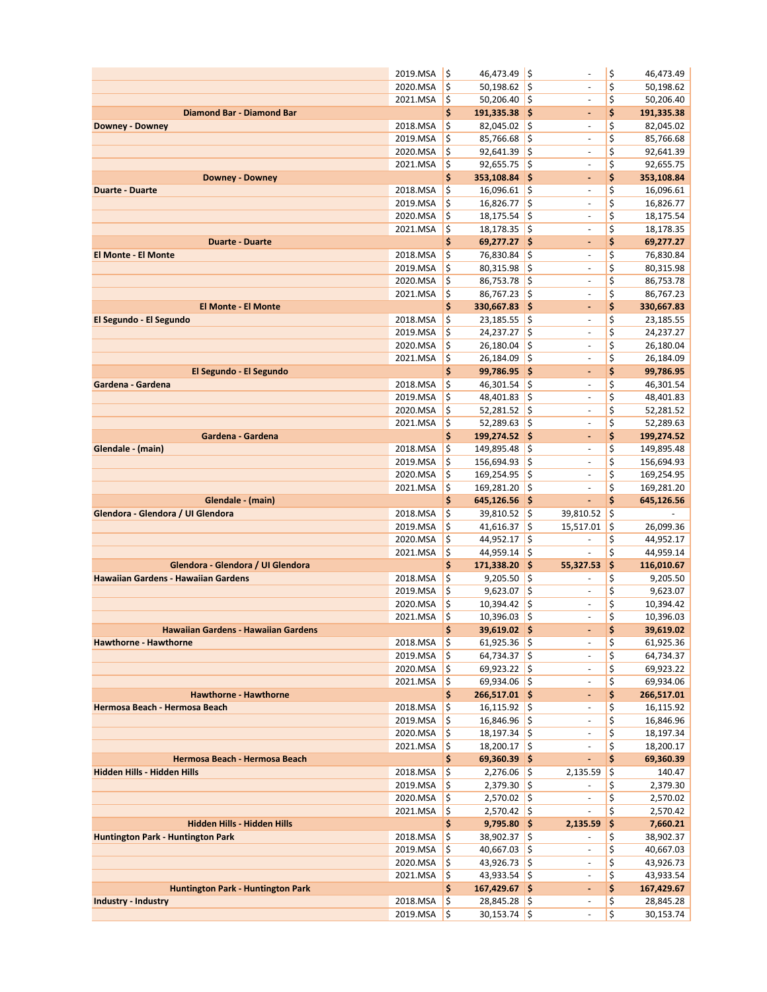|                                            | 2019.MSA             | l\$                 | 46,473.49 \$                     |                    | $\blacksquare$                                       | \$               | 46,473.49                |
|--------------------------------------------|----------------------|---------------------|----------------------------------|--------------------|------------------------------------------------------|------------------|--------------------------|
|                                            | 2020.MSA             | $\zeta$             | 50,198.62                        | $\zeta$            |                                                      | \$               | 50,198.62                |
|                                            | 2021.MSA             | ¦\$                 | $50,206.40$ \$                   |                    | $\overline{\phantom{a}}$                             | \$               | 50,206.40                |
| Diamond Bar - Diamond Bar                  |                      | \$                  | 191,335.38 \$                    |                    | ۰                                                    | \$               | 191,335.38               |
| <b>Downey - Downey</b>                     | 2018.MSA             | \$                  | $82,045.02$ \$                   |                    | $\blacksquare$                                       | \$               | 82,045.02                |
|                                            | 2019.MSA             | \$                  | 85,766.68                        | \$                 | ä,                                                   | \$               | 85,766.68                |
|                                            | 2020.MSA             | \$                  | 92,641.39                        | $\zeta$            | $\overline{\phantom{a}}$                             | \$               | 92,641.39                |
|                                            | 2021.MSA             | $\ddot{\bm{\zeta}}$ | $92,655.75$ \$                   |                    | $\blacksquare$                                       | \$               | 92,655.75                |
| <b>Downey - Downey</b>                     |                      | \$                  | 353,108.84 \$                    |                    | ٠                                                    | \$               | 353,108.84               |
| <b>Duarte - Duarte</b>                     | 2018.MSA             | $\zeta$             | 16,096.61                        | $\zeta$            | $\overline{\phantom{a}}$                             | \$               | 16,096.61                |
|                                            | 2019.MSA             | \$<br>\$            | 16,826.77                        | $\zeta$<br>$\zeta$ | $\overline{\phantom{a}}$<br>$\overline{\phantom{a}}$ | \$<br>\$         | 16,826.77                |
|                                            | 2020.MSA<br>2021.MSA | $\ddot{\bm{\zeta}}$ | 18,175.54<br>18,178.35           | $\frac{1}{2}$      | ÷,                                                   | \$               | 18,175.54<br>18,178.35   |
| <b>Duarte - Duarte</b>                     |                      | \$                  | 69,277.27 \$                     |                    | ٠                                                    | \$               | 69,277.27                |
| <b>El Monte - El Monte</b>                 | 2018.MSA             | \$                  | 76,830.84                        | l\$                | ÷.                                                   | \$               | 76,830.84                |
|                                            | 2019.MSA             | \$                  | $80,315.98$ \$                   |                    | $\overline{\phantom{a}}$                             | \$               | 80,315.98                |
|                                            | 2020.MSA             | $\zeta$             | 86,753.78                        | $\zeta$            | ÷,                                                   | \$               | 86,753.78                |
|                                            | 2021.MSA             | $\zeta$             | $86,767.23$ \$                   |                    | $\overline{\phantom{m}}$                             | \$               | 86,767.23                |
| <b>El Monte - El Monte</b>                 |                      | \$                  | 330,667.83 \$                    |                    | ä,                                                   | \$               | 330,667.83               |
| El Segundo - El Segundo                    | 2018.MSA             | $\ddot{\bm{\zeta}}$ | 23,185.55                        | $\zeta$            | $\overline{\phantom{a}}$                             | \$               | 23,185.55                |
|                                            | 2019.MSA             | \$                  | 24,237.27                        | $\frac{1}{2}$      | $\overline{\phantom{a}}$                             | \$               | 24,237.27                |
|                                            | 2020.MSA             | \$                  | 26,180.04                        | \$                 | $\overline{\phantom{m}}$                             | \$               | 26,180.04                |
|                                            | 2021.MSA             | $\frac{1}{2}$       | 26,184.09                        | $\zeta$            | $\blacksquare$                                       | \$               | 26,184.09                |
| El Segundo - El Segundo                    |                      | \$                  | 99,786.95 \$                     |                    | $\qquad \qquad \blacksquare$                         | \$               | 99,786.95                |
| Gardena - Gardena                          | 2018.MSA             | $\zeta$             | 46,301.54                        | $\zeta$            | $\overline{\phantom{a}}$                             | \$               | 46,301.54                |
|                                            | 2019.MSA             | \$                  | 48,401.83                        | $\zeta$            | $\blacksquare$                                       | \$               | 48,401.83                |
|                                            | 2020.MSA             | $\ddot{\bm{\zeta}}$ | 52,281.52                        | $\zeta$            | $\overline{\phantom{a}}$                             | \$               | 52,281.52                |
|                                            | 2021.MSA             | ¦\$                 | 52,289.63                        | $\frac{1}{2}$      | $\blacksquare$                                       | \$               | 52,289.63                |
| Gardena - Gardena                          |                      | \$                  | 199,274.52 \$                    |                    | ۰                                                    | \$               | 199,274.52               |
| Glendale - (main)                          | 2018.MSA             | \$<br>\$            | 149,895.48                       | $\zeta$<br>\$      | $\sim$<br>÷,                                         | \$<br>\$         | 149,895.48               |
|                                            | 2019.MSA<br>2020.MSA | \$                  | 156,694.93<br>169,254.95         | $\frac{1}{2}$      | $\blacksquare$                                       | \$               | 156,694.93               |
|                                            | 2021.MSA             | \$                  | 169,281.20 \$                    |                    | $\overline{\phantom{a}}$                             | \$               | 169,254.95<br>169,281.20 |
| Glendale - (main)                          |                      | \$                  | $645,126.56$ \$                  |                    | ÷,                                                   | \$               | 645,126.56               |
| Glendora - Glendora / UI Glendora          | 2018.MSA             | $\zeta$             | 39,810.52                        | $\zeta$            | 39,810.52                                            | \$               | ä,                       |
|                                            | 2019.MSA             | \$                  | 41,616.37                        | $\zeta$            | 15,517.01                                            | \$               | 26,099.36                |
|                                            | 2020.MSA             | \$                  | 44,952.17                        | $\zeta$            | $\overline{\phantom{a}}$                             | \$               | 44,952.17                |
|                                            | 2021.MSA             | $\ddot{\bm{\zeta}}$ | 44,959.14                        | \$                 | ÷,                                                   | \$               | 44,959.14                |
| Glendora - Glendora / UI Glendora          |                      | \$                  | 171,338.20 \$                    |                    | 55,327.53                                            | \$               | 116,010.67               |
| <b>Hawaiian Gardens - Hawaiian Gardens</b> | 2018.MSA             | \$                  | $9,205.50$ \$                    |                    |                                                      | \$               | 9,205.50                 |
|                                            | 2019.MSA             | \$                  | 9,623.07                         | $\zeta$            | $\overline{\phantom{a}}$                             |                  | 9,623.07                 |
|                                            |                      |                     |                                  |                    |                                                      | \$               | 10,394.42                |
|                                            | 2020.MSA             | $\zeta$             | 10,394.42                        | \$                 | ÷.                                                   | \$               |                          |
|                                            | 2021.MSA             | $\mathsf{S}$        | 10,396.03                        | l\$                | $\overline{\phantom{0}}$                             | \$               | 10,396.03                |
| Hawaiian Gardens - Hawaiian Gardens        |                      | Ş                   | 39,619.02 \$                     |                    | ÷,                                                   | Ş                | 39,619.02                |
| Hawthorne - Hawthorne                      | 2018.MSA             | $\frac{1}{2}$       | $61,925.36$ \$                   |                    | $\overline{\phantom{a}}$                             | \$               | 61,925.36                |
|                                            | 2019.MSA             | $\frac{1}{2}$       | $64,734.37$ \$                   |                    | $\overline{\phantom{a}}$                             | \$               | 64,734.37                |
|                                            | 2020.MSA             | \$                  | $69,923.22$ \$                   |                    | $\overline{\phantom{0}}$                             | $\overline{\xi}$ | 69,923.22                |
|                                            | 2021.MSA             | $\zeta$             | 69,934.06 \$                     |                    | $\overline{\phantom{a}}$                             | \$               | 69,934.06                |
| <b>Hawthorne - Hawthorne</b>               |                      | \$                  | 266,517.01 \$                    |                    | ۰                                                    | \$               | 266,517.01               |
| Hermosa Beach - Hermosa Beach              | 2018.MSA             | $\zeta$             | $16, 115.92$ \$                  |                    | $\overline{\phantom{a}}$<br>÷,                       | \$               | 16,115.92                |
|                                            | 2019.MSA             | $\zeta$             | 16,846.96 \$                     |                    |                                                      | \$               | 16,846.96                |
|                                            | 2020.MSA<br>2021.MSA | ¦\$<br>¦\$          | $18,197.34$ \$<br>$18,200.17$ \$ |                    | ÷,                                                   | \$<br>\$         | 18,197.34<br>18,200.17   |
| Hermosa Beach - Hermosa Beach              |                      | \$                  | $69,360.39$ \$                   |                    | ۰                                                    | \$               | 69,360.39                |
| Hidden Hills - Hidden Hills                | 2018.MSA             | $\zeta$             | $2,276.06$ \$                    |                    | 2,135.59                                             | \$               | 140.47                   |
|                                            | 2019.MSA             | $\zeta$             | $2,379.30$ \$                    |                    |                                                      | \$               | 2,379.30                 |
|                                            | 2020.MSA             | $\frac{1}{2}$       | $2,570.02$ \$                    |                    | $\overline{\phantom{a}}$                             | \$               | 2,570.02                 |
|                                            | 2021.MSA             | $\zeta$             | $2,570.42$ \$                    |                    | $\blacksquare$                                       | \$               | 2,570.42                 |
| Hidden Hills - Hidden Hills                |                      | \$                  | $9,795.80$ \$                    |                    | 2,135.59                                             | \$               | 7,660.21                 |
| <b>Huntington Park - Huntington Park</b>   | 2018.MSA             | ١\$                 | 38,902.37 \$                     |                    | $\blacksquare$                                       | \$               | 38,902.37                |
|                                            | 2019.MSA             | $\zeta$             | $40,667.03$ \$                   |                    | $\overline{\phantom{a}}$                             | \$               | 40,667.03                |
|                                            | 2020.MSA             | $\frac{1}{2}$       | $43,926.73$ \$                   |                    | $\overline{\phantom{a}}$                             | \$               | 43,926.73                |
|                                            | 2021.MSA             | ¦\$                 | 43,933.54 \$                     |                    | $\overline{\phantom{a}}$                             | \$               | 43,933.54                |
| <b>Huntington Park - Huntington Park</b>   |                      | \$                  | 167,429.67 \$                    |                    | ÷                                                    | \$               | 167,429.67               |
| <b>Industry - Industry</b>                 | 2018.MSA<br>2019.MSA | \$<br>\$            | $28,845.28$ \$<br>$30,153.74$ \$ |                    | $\blacksquare$                                       | \$<br>\$         | 28,845.28<br>30,153.74   |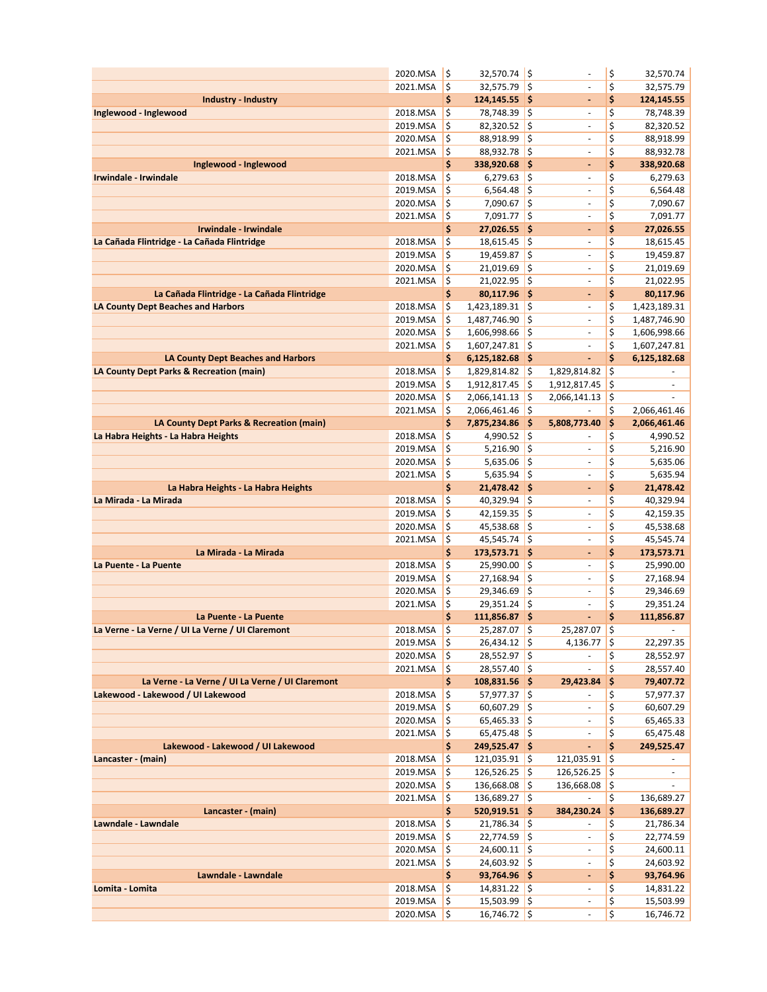|                                                  | 2020.MSA                 | \$                       | $32,570.74$ \$                       |               | ÷,                                   | \$       | 32,570.74                |
|--------------------------------------------------|--------------------------|--------------------------|--------------------------------------|---------------|--------------------------------------|----------|--------------------------|
|                                                  | 2021.MSA                 | \$                       | $32,575.79$ \$                       |               |                                      | \$       | 32,575.79                |
| <b>Industry - Industry</b>                       |                          | \$                       | 124,145.55 \$                        |               | $\overline{\phantom{a}}$             | \$       | 124,145.55               |
| Inglewood - Inglewood                            | 2018.MSA                 | \$                       | 78,748.39 \$                         |               | $\overline{\phantom{a}}$             | \$       | 78,748.39                |
|                                                  | 2019.MSA                 | \$                       | $82,320.52$ \$                       |               | $\sim$                               | \$       | 82,320.52                |
|                                                  | 2020.MSA                 | \$                       | 88,918.99                            | \$            |                                      | \$       | 88,918.99                |
|                                                  | 2021.MSA                 | \$                       | 88,932.78 \$                         |               | $\overline{\phantom{a}}$             | \$       | 88,932.78                |
| Inglewood - Inglewood                            |                          | \$                       | 338,920.68                           | \$            | $\blacksquare$                       | \$       | 338,920.68               |
| Irwindale - Irwindale                            | 2018.MSA                 | \$                       | $6,279.63$ \$                        |               | $\sim$                               | \$       | 6,279.63                 |
|                                                  | 2019.MSA                 | \$                       | 6,564.48                             | \$            | $\omega$                             | \$       | 6,564.48                 |
|                                                  | 2020.MSA                 | \$                       | 7,090.67                             | $\zeta$       | $\overline{\phantom{a}}$             | \$       | 7,090.67                 |
|                                                  | 2021.MSA                 | \$                       | $7,091.77$ \$                        |               | $\overline{\phantom{a}}$             | \$       | 7,091.77                 |
| Irwindale - Irwindale                            |                          | \$                       | 27,026.55                            | \$            | $\blacksquare$                       | \$       | 27,026.55                |
| La Cañada Flintridge - La Cañada Flintridge      | 2018.MSA                 | \$                       | 18,615.45                            | $\frac{1}{2}$ | $\overline{\phantom{a}}$             | \$       | 18,615.45                |
|                                                  | 2019.MSA                 | \$                       | 19,459.87                            | \$            | $\sim$                               | \$       | 19,459.87                |
|                                                  | 2020.MSA                 | \$                       | 21,019.69                            | \$            | $\sim$                               | \$       | 21,019.69                |
|                                                  | 2021.MSA                 | \$                       | 21,022.95                            | \$            | ÷,                                   | \$       | 21,022.95                |
| La Cañada Flintridge - La Cañada Flintridge      |                          | \$                       | 80,117.96 \$                         |               | $\blacksquare$                       | \$       | 80,117.96                |
| <b>LA County Dept Beaches and Harbors</b>        | 2018.MSA                 | \$                       | $1,423,189.31$ \$                    |               | $\sim$                               | \$       | 1,423,189.31             |
|                                                  | 2019.MSA                 | \$                       | 1,487,746.90                         | $\frac{1}{2}$ | ÷,                                   | \$       | 1,487,746.90             |
|                                                  | 2020.MSA                 | \$                       | 1,606,998.66                         | \$            | $\overline{\phantom{a}}$             | \$       | 1,606,998.66             |
| <b>LA County Dept Beaches and Harbors</b>        | 2021.MSA                 | \$<br>\$                 | 1,607,247.81 \$<br>$6,125,182.68$ \$ |               | $\overline{a}$<br>$\blacksquare$     | \$<br>\$ | 1,607,247.81             |
| LA County Dept Parks & Recreation (main)         | 2018.MSA                 | \$                       | 1,829,814.82                         | \$            | 1,829,814.82                         | \$       | 6,125,182.68             |
|                                                  | 2019.MSA                 | \$                       | 1,912,817.45                         | \$            | 1,912,817.45                         | \$       | $\blacksquare$           |
|                                                  | 2020.MSA                 | \$                       | 2,066,141.13                         | \$            | 2,066,141.13                         | \$       |                          |
|                                                  | 2021.MSA                 | \$                       | 2,066,461.46                         | \$            | ÷,                                   | \$       | 2,066,461.46             |
| LA County Dept Parks & Recreation (main)         |                          | \$                       | 7,875,234.86                         | \$            | 5,808,773.40                         | \$       | 2,066,461.46             |
| La Habra Heights - La Habra Heights              | 2018.MSA                 | \$                       | 4,990.52 \$                          |               | $\overline{a}$                       | \$       | 4,990.52                 |
|                                                  | 2019.MSA                 | \$                       | 5,216.90                             | $\zeta$       | $\sim$                               | \$       | 5,216.90                 |
|                                                  | 2020.MSA                 | \$                       | 5,635.06                             | \$            | $\sim$                               | \$       | 5,635.06                 |
|                                                  | 2021.MSA                 | \$                       | 5,635.94                             | $\zeta$       | $\overline{\phantom{a}}$             | \$       | 5,635.94                 |
| La Habra Heights - La Habra Heights              |                          | \$                       | 21,478.42 \$                         |               | $\blacksquare$                       | \$       | 21,478.42                |
| La Mirada - La Mirada                            | 2018.MSA                 | \$                       | $40,329.94$ \$                       |               | $\sim$                               | \$       | 40,329.94                |
|                                                  |                          |                          |                                      |               |                                      |          |                          |
|                                                  | 2019.MSA                 | \$                       | 42,159.35                            | \$            | $\omega$                             | \$       | 42,159.35                |
|                                                  | 2020.MSA                 | \$                       | 45,538.68                            | $\zeta$       | $\overline{\phantom{a}}$             | \$       | 45,538.68                |
|                                                  | 2021.MSA                 | $\frac{1}{2}$            | $45,545.74$ \$                       |               | $\overline{\phantom{a}}$             | \$       | 45,545.74                |
| La Mirada - La Mirada                            |                          | \$                       | 173,573.71 \$                        |               | ٠                                    | \$       | 173,573.71               |
| La Puente - La Puente                            | 2018.MSA                 | \$                       | 25,990.00 \$                         |               | $\omega$                             | \$       | 25,990.00                |
|                                                  | 2019.MSA                 | \$                       | 27,168.94                            | \$            | $\sim$                               | \$       | 27,168.94                |
|                                                  | 2020.MSA                 | \$                       | 29,346.69                            | \$            | $\sim$                               | \$       | 29,346.69                |
|                                                  | 2021.MSA                 | \$                       | 29,351.24                            | \$            | ÷,                                   | \$       | 29,351.24                |
| La Puente - La Puente                            |                          | \$                       | 111,856.87 \$                        |               | ä,                                   | \$       | 111,856.87               |
| La Verne - La Verne / UI La Verne / UI Claremont | 2018.MSA S               |                          | 25,287.07 S                          |               | $25,287.07$ \ \$                     |          | $\sim$                   |
|                                                  | $2019.MSA$ $\frac{1}{5}$ |                          | $26,434.12$ \$                       |               | $4,136.77$ \$                        |          | 22,297.35                |
|                                                  | 2020.MSA                 | I\$                      | $28,552.97$ \$                       |               | $\sim$                               | \$       | 28,552.97                |
|                                                  | 2021.MSA                 | - 15                     | $28,557.40$ \$                       |               | $\overline{\phantom{a}}$             | \$       | 28,557.40                |
| La Verne - La Verne / UI La Verne / UI Claremont |                          | \$                       | $108,831.56$ \$                      |               | 29,423.84                            | \$       | 79,407.72                |
| Lakewood - Lakewood / UI Lakewood                | 2018.MSA                 | ١\$                      | $57,977.37$ \$                       |               |                                      | \$       | 57,977.37                |
|                                                  | 2019.MSA                 | \$                       | $60,607.29$ \$                       |               | $\blacksquare$                       | \$       | 60,607.29                |
|                                                  | 2020.MSA                 | '\$                      | $65,465.33$ \$                       |               | $\overline{\phantom{a}}$             | \$       | 65,465.33                |
|                                                  | 2021.MSA                 | $\vert \mathsf{s}$       | $65,475.48$ \$                       |               | $\overline{\phantom{a}}$             | \$       | 65,475.48                |
| Lakewood - Lakewood / UI Lakewood                |                          | \$                       | 249,525.47 \$                        |               | $\omega_{\rm c}$                     | \$       | 249,525.47               |
| Lancaster - (main)                               | 2018.MSA                 | $\frac{1}{2}$            | $121,035.91$ \$                      |               | $121,035.91$ \$                      |          |                          |
|                                                  | 2019.MSA                 | $\frac{1}{2}$            | $126,526.25$ \$                      |               | $126,526.25$ \$                      |          | $\overline{\phantom{a}}$ |
|                                                  | 2020.MSA                 | $\frac{1}{2}$            | 136,668.08 \$                        |               | $136,668.08$ \$                      |          |                          |
|                                                  | 2021.MSA                 | $\frac{1}{2}$            | 136,689.27 \$                        |               | $\overline{\phantom{a}}$             | \$       | 136,689.27               |
| Lancaster - (main)<br>Lawndale - Lawndale        |                          | \$                       | 520,919.51 \$                        |               | 384,230.24<br>$\sim$                 | \$       | 136,689.27               |
|                                                  | 2018.MSA                 | \$                       | $21,786.34$ \$                       |               | $\blacksquare$                       | \$<br>\$ | 21,786.34                |
|                                                  | 2019.MSA<br>2020.MSA     | I\$<br>- 15              | $22,774.59$ \$                       |               |                                      |          | 22,774.59                |
|                                                  |                          |                          | $24,600.11$ \$                       |               | $\gamma$<br>$\overline{\phantom{a}}$ | \$       | 24,600.11                |
| Lawndale - Lawndale                              | 2021.MSA                 | $\vert \mathsf{s}$<br>\$ | $24,603.92$ \$<br>$93,764.96$ \$     |               | $\blacksquare$                       | \$<br>\$ | 24,603.92<br>93,764.96   |
| Lomita - Lomita                                  | 2018.MSA                 | l\$                      | $14,831.22$ \$                       |               | $\blacksquare$                       | \$       | 14,831.22                |
|                                                  | 2019.MSA                 | l\$                      | $15,503.99$ \$                       |               | $\overline{\phantom{a}}$             | \$       | 15,503.99                |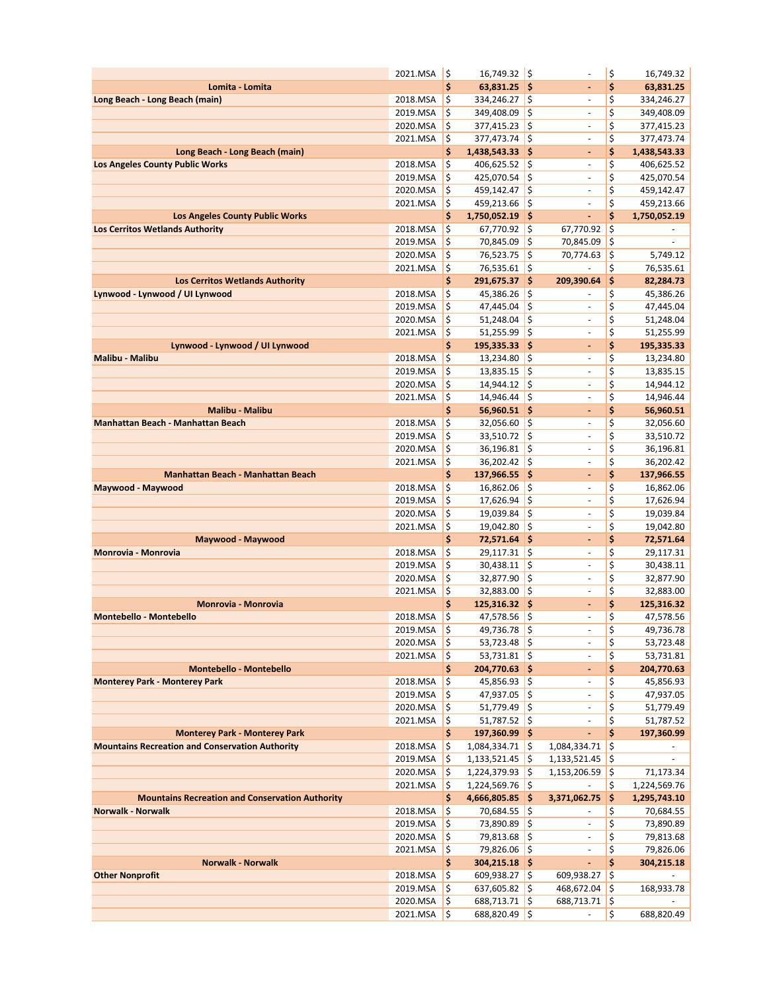|                                                        | 2021.MSA             | l\$           | 16,749.32 \$                           |          | ä,                           | \$       | 16,749.32                 |
|--------------------------------------------------------|----------------------|---------------|----------------------------------------|----------|------------------------------|----------|---------------------------|
| Lomita - Lomita                                        |                      | \$            | $63,831.25$ \$                         |          | $\blacksquare$               | \$       | 63,831.25                 |
| Long Beach - Long Beach (main)                         | 2018.MSA             | \$            | 334,246.27                             | l\$      | $\sim$                       | \$       | 334,246.27                |
|                                                        | 2019.MSA             | \$            | 349,408.09                             | \$       | $\overline{\phantom{a}}$     | \$       | 349,408.09                |
|                                                        | 2020.MSA             | \$            | 377,415.23                             | \$       | $\sim$                       | \$       | 377,415.23                |
|                                                        | 2021.MSA             | \$            | 377,473.74                             | \$       | ÷,                           | \$       | 377,473.74                |
| Long Beach - Long Beach (main)                         |                      | \$            | 1,438,543.33 \$                        |          | $\qquad \qquad \blacksquare$ | \$       | 1,438,543.33              |
| <b>Los Angeles County Public Works</b>                 | 2018.MSA             | \$            | 406,625.52                             | \$       | $\sim$                       | \$       | 406,625.52                |
|                                                        | 2019.MSA             | \$            | 425,070.54                             | \$       | $\sim$                       | \$       | 425,070.54                |
|                                                        | 2020.MSA             | \$            | 459,142.47                             | \$       | $\sim$                       | \$       | 459,142.47                |
|                                                        | 2021.MSA             | \$            | 459,213.66                             | l\$      | $\blacksquare$               | \$       | 459,213.66                |
| <b>Los Angeles County Public Works</b>                 |                      | \$            | 1,750,052.19 \$                        |          | ÷.                           | \$       | 1,750,052.19              |
| <b>Los Cerritos Wetlands Authority</b>                 | 2018.MSA             | \$            | 67,770.92                              | \$       | 67,770.92                    | \$       |                           |
|                                                        | 2019.MSA             | \$            | 70,845.09                              | \$       | 70,845.09                    | \$       | $\blacksquare$            |
|                                                        | 2020.MSA             | \$            | 76,523.75                              | \$       | 70,774.63                    | \$       | 5,749.12                  |
|                                                        | 2021.MSA             | \$            | 76,535.61                              | \$       |                              | \$       | 76,535.61                 |
| <b>Los Cerritos Wetlands Authority</b>                 |                      | \$            | 291,675.37 \$                          |          | 209,390.64                   | \$       | 82,284.73                 |
| Lynwood - Lynwood / UI Lynwood                         | 2018.MSA             | \$            | $45,386.26$ \$                         |          | $\blacksquare$               | \$       | 45,386.26                 |
|                                                        | 2019.MSA             | \$            | 47,445.04                              | \$       | ä,                           | \$       | 47,445.04                 |
|                                                        | 2020.MSA             | \$<br>$\zeta$ | 51,248.04<br>51,255.99                 | \$<br>\$ |                              | \$<br>\$ | 51,248.04                 |
| Lynwood - Lynwood / UI Lynwood                         | 2021.MSA             | \$            |                                        | ∣\$      | $\overline{\phantom{a}}$     | \$       | 51,255.99                 |
| Malibu - Malibu                                        | 2018.MSA             | \$            | 195,335.33<br>13,234.80                | \$       | ۰<br>$\sim$                  | \$       | 195,335.33<br>13,234.80   |
|                                                        | 2019.MSA             | \$            | 13,835.15                              | \$       | $\blacksquare$               | \$       | 13,835.15                 |
|                                                        | 2020.MSA             | \$            | 14,944.12                              | \$       | $\overline{\phantom{a}}$     | \$       | 14,944.12                 |
|                                                        | 2021.MSA             | \$            | 14,946.44                              | \$       | $\overline{\phantom{a}}$     | \$       | 14,946.44                 |
| <b>Malibu - Malibu</b>                                 |                      | \$            | $56,960.51$ \$                         |          | $\blacksquare$               | \$       | 56,960.51                 |
| <b>Manhattan Beach - Manhattan Beach</b>               | 2018.MSA             | \$            | 32,056.60                              | \$       | $\sim$                       | \$       | 32,056.60                 |
|                                                        | 2019.MSA             | \$            | 33,510.72                              | \$       | $\overline{\phantom{a}}$     | \$       | 33,510.72                 |
|                                                        | 2020.MSA             | \$            | 36,196.81                              | \$       | $\blacksquare$               | \$       | 36,196.81                 |
|                                                        | 2021.MSA             | $\frac{1}{2}$ | 36,202.42                              | \$       | ÷,                           | \$       | 36,202.42                 |
| <b>Manhattan Beach - Manhattan Beach</b>               |                      | \$            | 137,966.55 \$                          |          | $\qquad \qquad \blacksquare$ | \$       | 137,966.55                |
| Maywood - Maywood                                      | 2018.MSA             | \$            | 16,862.06                              | \$       | $\Box$                       | \$       | 16,862.06                 |
|                                                        | 2019.MSA             | \$            | 17,626.94                              | \$       | $\sim$                       | \$       | 17,626.94                 |
|                                                        | 2020.MSA             | \$            | 19,039.84                              | \$       | ä,                           | \$       | 19,039.84                 |
|                                                        | 2021.MSA             | \$            | 19,042.80                              | \$       | $\blacksquare$               | \$       | 19,042.80                 |
| Maywood - Maywood                                      |                      | \$            | 72,571.64 \$                           |          | ä,                           | \$       | 72,571.64                 |
| <b>Monrovia - Monrovia</b>                             | 2018.MSA             | \$            | 29,117.31                              | \$       | $\overline{\phantom{a}}$     | \$       | 29,117.31                 |
|                                                        | 2019.MSA             | \$            | 30,438.11                              | \$       | $\overline{\phantom{a}}$     | \$       | 30,438.11                 |
|                                                        | 2020.MSA             | \$            | 32,877.90                              | \$       | $\blacksquare$               | \$       | 32,877.90                 |
|                                                        | 2021.MSA             | \$            | 32,883.00                              | \$       | $\overline{\phantom{a}}$     | \$       | 32,883.00                 |
| Monrovia - Monrovia                                    |                      | \$            | $125,316.32$ \$                        |          | ä,                           | \$       | 125,316.32                |
| <b>Montebello - Montebello</b>                         | 2018.MSA             | \$            | 47,578.56                              | \$       | ÷,                           | \$       | 47,578.56                 |
|                                                        | 2019.MSA             | 1Ş            | 49,736.78 S                            |          | $\overline{a}$               | Ş        | 49,736.78                 |
|                                                        | 2020.MSA             | İ\$           | $53,723.48$ \$                         |          | $\overline{\phantom{a}}$     | \$       | 53,723.48                 |
|                                                        | 2021.MSA             | ١\$           | $53,731.81$ \$                         |          | $\overline{\phantom{a}}$     | \$       | 53,731.81                 |
| <b>Montebello - Montebello</b>                         |                      | \$            | 204,770.63 \$                          |          | ۳                            | \$       | 204,770.63                |
| <b>Monterey Park - Monterey Park</b>                   | 2018.MSA             | \$            | $45,856.93$ \$                         |          | $\overline{\phantom{a}}$     | \$       | 45,856.93                 |
|                                                        | 2019.MSA             | \$            | 47,937.05                              | \$       |                              | \$       | 47,937.05                 |
|                                                        | 2020.MSA             | $\frac{1}{2}$ | $51,779.49$ \$                         |          | $\overline{\phantom{a}}$     | \$       | 51,779.49                 |
|                                                        | 2021.MSA             | \$            | $51,787.52$ \$                         |          | $\overline{\phantom{a}}$     | \$       | 51,787.52                 |
| <b>Monterey Park - Monterey Park</b>                   |                      | \$            | 197,360.99 \$                          |          | ÷,                           | \$       | 197,360.99                |
| <b>Mountains Recreation and Conservation Authority</b> | 2018.MSA<br>2019.MSA | ١\$           | $1,084,334.71$ \$                      |          | 1,084,334.71                 | \$       |                           |
|                                                        |                      | \$,<br>\$     | $1,133,521.45$ \$<br>$1,224,379.93$ \$ |          | 1,133,521.45                 | \$       |                           |
|                                                        | 2020.MSA<br>2021.MSA | ١\$           | 1,224,569.76                           | l\$      | 1,153,206.59                 | \$<br>\$ | 71,173.34<br>1,224,569.76 |
| <b>Mountains Recreation and Conservation Authority</b> |                      | \$            | 4,666,805.85 \$                        |          | 3,371,062.75                 | \$       | 1,295,743.10              |
| <b>Norwalk - Norwalk</b>                               | 2018.MSA             | \$            | 70,684.55 \$                           |          |                              | \$       | 70,684.55                 |
|                                                        | 2019.MSA             | \$            | 73,890.89 \$                           |          |                              | \$       | 73,890.89                 |
|                                                        | 2020.MSA             | $\zeta$       | 79,813.68 \$                           |          | $\blacksquare$               | \$       | 79,813.68                 |
|                                                        | 2021.MSA             | $\frac{1}{2}$ | 79,826.06 \$                           |          | $\blacksquare$               | \$       | 79,826.06                 |
| <b>Norwalk - Norwalk</b>                               |                      | \$            | $304,215.18$ \$                        |          | $\blacksquare$               | \$       | 304,215.18                |
| <b>Other Nonprofit</b>                                 | 2018.MSA             | $\zeta$       | $609,938.27$ \$                        |          | 609,938.27                   | \$       |                           |
|                                                        | 2019.MSA             | $\zeta$       | $637,605.82$ \$                        |          | 468,672.04                   | \$       | 168,933.78                |
|                                                        | 2020.MSA             | \$            | 688,713.71 \$                          |          | 688,713.71                   | \$       |                           |
|                                                        | 2021.MSA             | \$            | 688,820.49                             | \$       | $\overline{\phantom{a}}$     | \$       | 688,820.49                |
|                                                        |                      |               |                                        |          |                              |          |                           |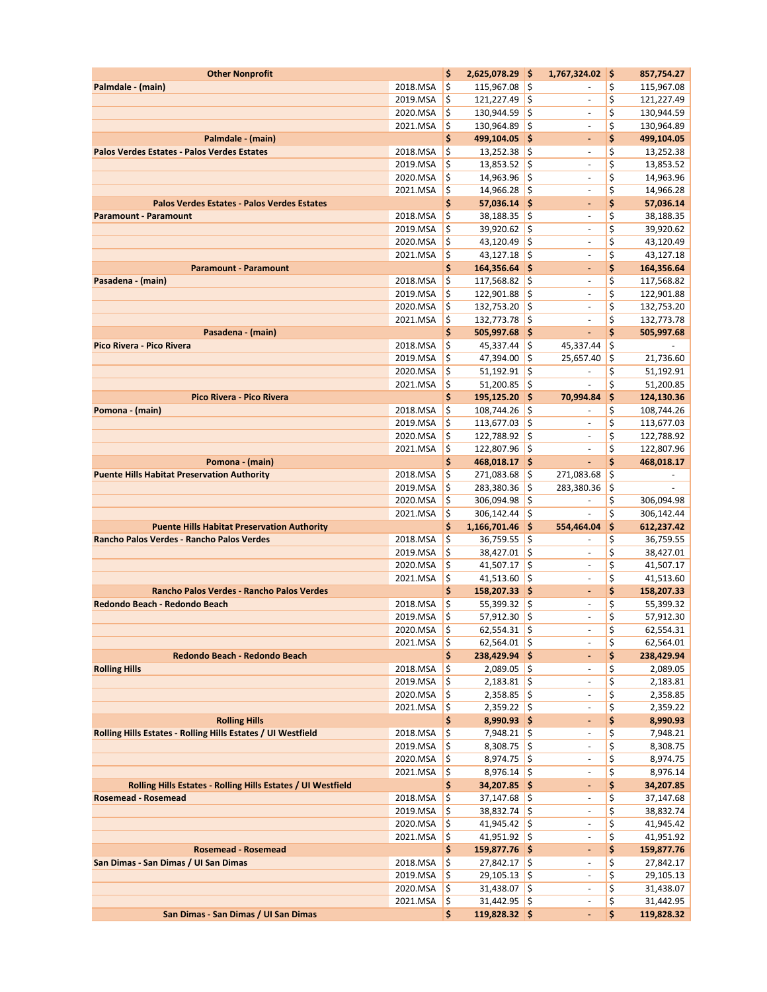| <b>Other Nonprofit</b>                                           |                      | \$                       | 2,625,078.29 \$                  |          | 1,767,324.02                                         | \$       | 857,754.27               |
|------------------------------------------------------------------|----------------------|--------------------------|----------------------------------|----------|------------------------------------------------------|----------|--------------------------|
| Palmdale - (main)                                                | 2018.MSA             | \$                       | 115,967.08                       | \$       |                                                      | \$       | 115,967.08               |
|                                                                  | 2019.MSA             | \$                       | 121,227.49                       | \$       | $\overline{\phantom{a}}$                             | \$       | 121,227.49               |
|                                                                  | 2020.MSA             | \$                       | 130,944.59                       | \$       | $\overline{\phantom{a}}$                             | \$       | 130,944.59               |
|                                                                  | 2021.MSA             | \$                       | 130,964.89                       | \$       | ÷,                                                   | \$       | 130,964.89               |
| Palmdale - (main)<br>Palos Verdes Estates - Palos Verdes Estates |                      | \$                       | 499,104.05 \$                    |          | ۰                                                    | \$       | 499,104.05               |
|                                                                  | 2018.MSA<br>2019.MSA | \$<br>\$                 | $13,252.38$ \$<br>13,853.52      | l\$      | $\overline{\phantom{a}}$<br>ä,                       | \$<br>\$ | 13,252.38<br>13,853.52   |
|                                                                  | 2020.MSA             | \$                       | 14,963.96                        | ¦\$      | $\overline{\phantom{a}}$                             | \$       | 14,963.96                |
|                                                                  | 2021.MSA             | $\zeta$                  | 14,966.28                        | \$       | $\overline{\phantom{a}}$                             | \$       | 14,966.28                |
| <b>Palos Verdes Estates - Palos Verdes Estates</b>               |                      | \$                       | $57,036.14$ \$                   |          | ۰                                                    | \$       | 57,036.14                |
| <b>Paramount - Paramount</b>                                     | 2018.MSA             | \$                       | 38,188.35                        | \$       | $\overline{\phantom{a}}$                             | \$       | 38,188.35                |
|                                                                  | 2019.MSA             | \$                       | 39,920.62                        | \$       | $\blacksquare$                                       | \$       | 39,920.62                |
|                                                                  | 2020.MSA             | \$                       | 43,120.49                        | \$       | $\overline{\phantom{a}}$                             | \$       | 43,120.49                |
|                                                                  | 2021.MSA             | \$                       | 43,127.18                        | l\$      | $\overline{\phantom{a}}$                             | \$       | 43,127.18                |
| <b>Paramount - Paramount</b>                                     |                      | \$                       | 164,356.64 \$                    |          | $\blacksquare$                                       | \$       | 164,356.64               |
| Pasadena - (main)                                                | 2018.MSA             | \$                       | 117,568.82                       | ¦\$      | $\overline{\phantom{a}}$                             | \$       | 117,568.82               |
|                                                                  | 2019.MSA             | \$                       | 122,901.88                       | \$       | $\blacksquare$                                       | \$       | 122,901.88               |
|                                                                  | 2020.MSA             | \$                       | 132,753.20                       | l\$      | $\blacksquare$                                       | \$       | 132,753.20               |
|                                                                  | 2021.MSA             | \$                       | 132,773.78                       | \$       | $\overline{\phantom{a}}$                             | \$<br>\$ | 132,773.78               |
| Pasadena - (main)<br>Pico Rivera - Pico Rivera                   | 2018.MSA             | \$<br>\$                 | 505,997.68 \$<br>$45,337.44$ \$  |          | ٠<br>45,337.44                                       | \$       | 505,997.68               |
|                                                                  | 2019.MSA             | \$                       | 47,394.00 \$                     |          | 25,657.40                                            | \$       | 21,736.60                |
|                                                                  | 2020.MSA             | \$                       | 51,192.91                        | \$       |                                                      | \$       | 51,192.91                |
|                                                                  | 2021.MSA             | \$                       | $51,200.85$ \$                   |          | $\blacksquare$                                       | \$       | 51,200.85                |
| Pico Rivera - Pico Rivera                                        |                      | \$                       | 195,125.20 \$                    |          | 70,994.84                                            | \$       | 124,130.36               |
| Pomona - (main)                                                  | 2018.MSA             | \$                       | 108,744.26                       | ¦\$      |                                                      | \$       | 108,744.26               |
|                                                                  | 2019.MSA             | \$                       | 113,677.03                       | \$       | $\overline{\phantom{a}}$                             | \$       | 113,677.03               |
|                                                                  | 2020.MSA             | \$                       | 122,788.92                       | \$       | $\overline{\phantom{a}}$                             | \$       | 122,788.92               |
|                                                                  | 2021.MSA             | \$                       | 122,807.96                       | \$       | $\overline{\phantom{a}}$                             | \$       | 122,807.96               |
| Pomona - (main)                                                  |                      | \$                       | 468,018.17 \$                    |          | L.                                                   | \$       | 468,018.17               |
| <b>Puente Hills Habitat Preservation Authority</b>               | 2018.MSA             | \$                       | 271,083.68                       | \$       | 271,083.68                                           | \$       | $\overline{\phantom{a}}$ |
|                                                                  | 2019.MSA             | \$                       | 283,380.36                       | \$       | 283,380.36                                           | \$       |                          |
|                                                                  | 2020.MSA<br>2021.MSA | \$<br>$\zeta$            | 306,094.98<br>306,142.44         | \$<br>\$ | $\Box$                                               | \$<br>\$ | 306,094.98<br>306,142.44 |
| <b>Puente Hills Habitat Preservation Authority</b>               |                      | \$                       | 1,166,701.46 \$                  |          | 554,464.04                                           | \$       | 612,237.42               |
| Rancho Palos Verdes - Rancho Palos Verdes                        | 2018.MSA             | \$                       | 36,759.55                        | \$       | $\overline{\phantom{a}}$                             | \$       | 36,759.55                |
|                                                                  | 2019.MSA             | \$                       | 38,427.01                        | \$       | $\sim$                                               | \$       | 38,427.01                |
|                                                                  | 2020.MSA             | \$                       | 41,507.17                        | \$       | $\overline{\phantom{a}}$                             | \$       | 41,507.17                |
|                                                                  | 2021.MSA             | \$                       | 41,513.60 \$                     |          | $\sim$                                               | \$       | 41,513.60                |
| Rancho Palos Verdes - Rancho Palos Verdes                        |                      | \$                       | 158,207.33 \$                    |          | $\blacksquare$                                       | \$       | 158,207.33               |
| Redondo Beach - Redondo Beach                                    | 2018.MSA             | \$                       | $55,399.32$ \$                   |          | ä,                                                   | \$       | 55,399.32                |
|                                                                  | 2019.MSA             | \$                       | 57,912.30                        | \$       | $\blacksquare$                                       | \$       | 57,912.30                |
|                                                                  | $2020.MSA$ \$        |                          | $62,554.31$ \$                   |          |                                                      | \$       | 62,554.31                |
|                                                                  | 2021.MSA             | 1\$                      | $62,564.01$ \$                   |          | $\overline{\phantom{a}}$                             | \$<br>\$ | 62,564.01                |
| Redondo Beach - Redondo Beach<br><b>Rolling Hills</b>            | 2018.MSA             | \$<br>\$                 | 238,429.94 \$<br>$2,089.05$ \$   |          | $\blacksquare$<br>$\overline{\phantom{a}}$           | \$       | 238,429.94<br>2,089.05   |
|                                                                  | 2019.MSA             | \$                       | $2,183.81$ \$                    |          | $\overline{\phantom{a}}$                             | \$       | 2,183.81                 |
|                                                                  | 2020.MSA             | l\$                      | $2,358.85$ \$                    |          | $\blacksquare$                                       | \$       | 2,358.85                 |
|                                                                  | 2021.MSA             | ١\$                      | $2,359.22$ \$                    |          | $\overline{\phantom{a}}$                             | \$       | 2,359.22                 |
| <b>Rolling Hills</b>                                             |                      | \$                       | $8,990.93$ \$                    |          | ٠                                                    | \$       | 8,990.93                 |
| Rolling Hills Estates - Rolling Hills Estates / UI Westfield     | 2018.MSA             | ١\$                      | $7,948.21$ \$                    |          | $\overline{\phantom{a}}$                             | \$       | 7,948.21                 |
|                                                                  | 2019.MSA             | ١\$                      | $8,308.75$ \$                    |          | $\overline{\phantom{a}}$                             | \$       | 8,308.75                 |
|                                                                  | 2020.MSA             | \$,                      | $8,974.75$ \$                    |          | $\overline{\phantom{a}}$                             | \$       | 8,974.75                 |
|                                                                  | 2021.MSA             | $\zeta$                  | $8,976.14$ \$                    |          | $\overline{\phantom{a}}$                             | \$       | 8,976.14                 |
| Rolling Hills Estates - Rolling Hills Estates / UI Westfield     |                      | \$                       | 34,207.85 \$                     |          | ٠                                                    | \$       | 34,207.85                |
| <b>Rosemead - Rosemead</b>                                       | 2018.MSA<br>2019.MSA | $\zeta$<br>$\frac{1}{2}$ | $37,147.68$ \$<br>$38,832.74$ \$ |          | $\overline{\phantom{a}}$<br>$\overline{\phantom{a}}$ | \$<br>\$ | 37,147.68<br>38,832.74   |
|                                                                  | 2020.MSA             | l\$                      | $41,945.42$ \$                   |          | $\overline{\phantom{a}}$                             | \$       | 41,945.42                |
|                                                                  | 2021.MSA             | ١\$                      | $41,951.92$ \$                   |          | $\blacksquare$                                       | \$       | 41,951.92                |
| <b>Rosemead - Rosemead</b>                                       |                      | \$                       | 159,877.76 \$                    |          | ٠                                                    | \$       | 159,877.76               |
| San Dimas - San Dimas / UI San Dimas                             | 2018.MSA             | $\zeta$                  | $27,842.17$ \$                   |          | $\overline{\phantom{a}}$                             | \$       | 27,842.17                |
|                                                                  | 2019.MSA             | $\zeta$                  | $29,105.13$ \$                   |          | $\overline{\phantom{a}}$                             | \$       | 29,105.13                |
|                                                                  | 2020.MSA             | l\$                      | $31,438.07$ \$                   |          | $\blacksquare$                                       | \$       | 31,438.07                |
|                                                                  | 2021.MSA             | $\zeta$                  | $31,442.95$ \$                   |          | $\overline{\phantom{a}}$                             | \$       | 31,442.95                |
| San Dimas - San Dimas / UI San Dimas                             |                      | \$                       | $119,828.32$ \$                  |          | ÷,                                                   | \$       | 119,828.32               |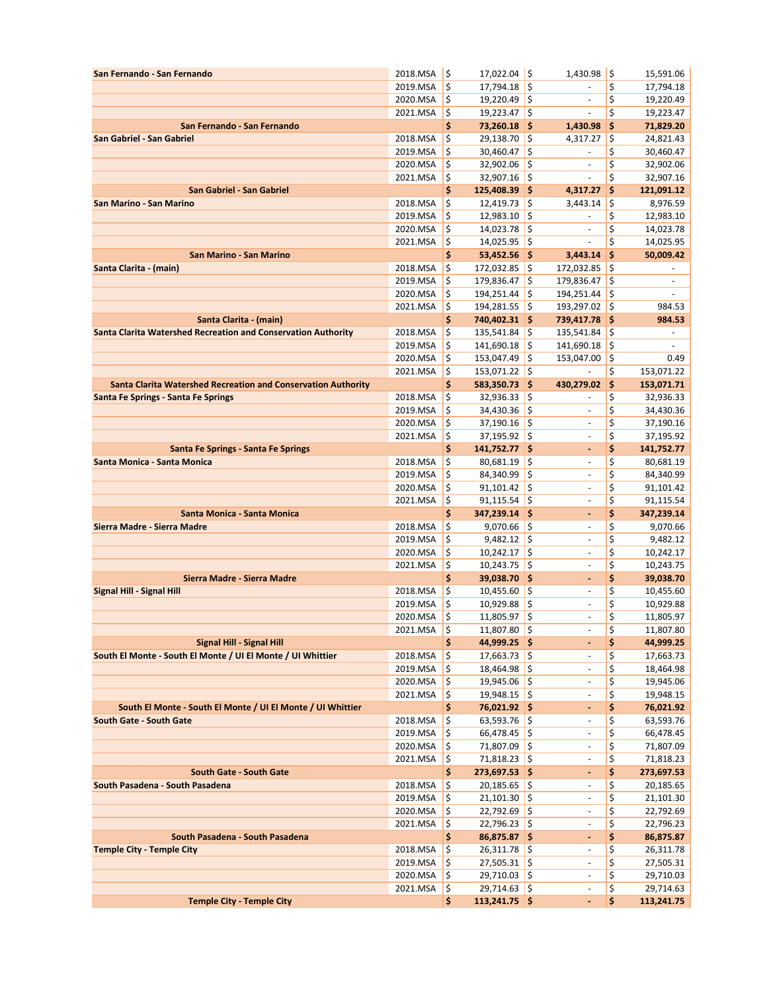| San Fernando - San Fernando                                          | 2018.MSA             | \$                 | 17,022.04 \$                   |               | 1,430.98                                             | \$       | 15,591.06                |
|----------------------------------------------------------------------|----------------------|--------------------|--------------------------------|---------------|------------------------------------------------------|----------|--------------------------|
|                                                                      | 2019.MSA             | \$                 | $17,794.18$ \$                 |               |                                                      | \$       | 17,794.18                |
|                                                                      | 2020.MSA             | $\zeta$            | $19,220.49$ \$                 |               | $\overline{\phantom{a}}$                             | \$       | 19,220.49                |
|                                                                      | 2021.MSA             | $\zeta$            | $19,223.47$ \$                 |               | ÷,                                                   | \$       | 19,223.47                |
| San Fernando - San Fernando                                          |                      | \$                 | 73,260.18 \$                   |               | 1,430.98                                             | \$       | 71,829.20                |
| San Gabriel - San Gabriel                                            | 2018.MSA             | \$                 | 29,138.70 \$                   |               | 4,317.27                                             | \$       | 24,821.43                |
|                                                                      | 2019.MSA             | \$                 | 30,460.47                      | \$            | $\overline{\phantom{a}}$                             | \$       | 30,460.47                |
|                                                                      | 2020.MSA             | \$<br>\$           | 32,902.06<br>$32,907.16$ \$    | \$            | $\Box$<br>$\blacksquare$                             | \$<br>\$ | 32,902.06                |
| San Gabriel - San Gabriel                                            | 2021.MSA             | \$                 | 125,408.39 \$                  |               | 4,317.27                                             | \$       | 32,907.16<br>121,091.12  |
| San Marino - San Marino                                              | 2018.MSA             | \$                 | $12,419.73$ \$                 |               | 3,443.14                                             | \$       | 8,976.59                 |
|                                                                      | 2019.MSA             | \$                 | $12,983.10$ \$                 |               | $\sim$                                               | \$       | 12,983.10                |
|                                                                      | 2020.MSA             | \$                 | $14,023.78$ \$                 |               | $\sim$                                               | \$       | 14,023.78                |
|                                                                      | 2021.MSA             | \$                 | $14,025.95$ \$                 |               | $\blacksquare$                                       | \$       | 14,025.95                |
| San Marino - San Marino                                              |                      | \$                 | $53,452.56$ \$                 |               | 3,443.14                                             | \$       | 50,009.42                |
| Santa Clarita - (main)                                               | 2018.MSA             | \$                 | 172,032.85 \$                  |               | 172,032.85                                           | \$       |                          |
|                                                                      | 2019.MSA             | \$                 | 179,836.47                     | \$            | 179,836.47                                           | \$       | ä,                       |
|                                                                      | 2020.MSA             | \$                 | 194,251.44                     | \$            | 194,251.44                                           | \$       | ÷,                       |
|                                                                      | 2021.MSA             | \$                 | 194,281.55 \$                  |               | 193,297.02 \$                                        |          | 984.53                   |
| Santa Clarita - (main)                                               |                      | \$                 | 740,402.31 \$                  |               | 739,417.78 \$                                        |          | 984.53                   |
| <b>Santa Clarita Watershed Recreation and Conservation Authority</b> | 2018.MSA             | \$                 | 135,541.84                     | $\frac{1}{2}$ | 135,541.84                                           | \$       | $\overline{\phantom{a}}$ |
|                                                                      | 2019.MSA             | \$                 | 141,690.18                     | \$            | 141,690.18                                           | \$       | ä,                       |
|                                                                      | 2020.MSA             | \$                 | 153,047.49                     | \$            | 153,047.00                                           | ¦\$      | 0.49                     |
| <b>Santa Clarita Watershed Recreation and Conservation Authority</b> | 2021.MSA             | \$<br>\$           | 153,071.22<br>583,350.73 \$    | \$            | 430,279.02                                           | \$<br>\$ | 153,071.22<br>153,071.71 |
| Santa Fe Springs - Santa Fe Springs                                  | 2018.MSA             | \$                 | $32,936.33$ \$                 |               |                                                      | \$       | 32,936.33                |
|                                                                      | 2019.MSA             | \$                 | $34,430.36$ \$                 |               |                                                      | \$       | 34,430.36                |
|                                                                      | 2020.MSA             | \$                 | $37,190.16$ \$                 |               | $\overline{\phantom{a}}$                             | \$       | 37,190.16                |
|                                                                      | 2021.MSA             | $\frac{1}{2}$      | 37,195.92 \$                   |               | $\overline{\phantom{a}}$                             | \$       | 37,195.92                |
| Santa Fe Springs - Santa Fe Springs                                  |                      | \$                 | 141,752.77 \$                  |               | $\blacksquare$                                       | \$       | 141,752.77               |
| Santa Monica - Santa Monica                                          | 2018.MSA             | \$                 | 80,681.19                      | \$            | $\overline{\phantom{a}}$                             | \$       | 80,681.19                |
|                                                                      | 2019.MSA             | \$                 | 84,340.99                      | \$            | $\overline{\phantom{a}}$                             | \$       | 84,340.99                |
|                                                                      | 2020.MSA             | \$                 | 91,101.42                      | \$            | $\sim$                                               | \$       | 91,101.42                |
|                                                                      | 2021.MSA             | \$                 | 91,115.54                      | \$            | $\sim$                                               | \$       | 91,115.54                |
| Santa Monica - Santa Monica                                          |                      | \$                 | 347,239.14 \$                  |               | $\blacksquare$                                       | \$       | 347,239.14               |
| Sierra Madre - Sierra Madre                                          | 2018.MSA             | \$                 | $9,070.66$ \$                  |               | $\overline{\phantom{a}}$                             | \$       | 9,070.66                 |
|                                                                      | 2019.MSA             | \$                 | $9,482.12$ \$                  |               | $\overline{\phantom{a}}$                             | \$       | 9,482.12                 |
|                                                                      | 2020.MSA             | \$                 | $10,242.17$ \$                 |               | $\sim$                                               | \$       | 10,242.17                |
| Sierra Madre - Sierra Madre                                          | 2021.MSA             | \$<br>\$           | $10,243.75$ \$<br>39,038.70 \$ |               | $\overline{\phantom{a}}$                             | \$<br>\$ | 10,243.75<br>39,038.70   |
| Signal Hill - Signal Hill                                            | 2018.MSA             | \$                 | $10,455.60$ \$                 |               | ٠<br>$\overline{\phantom{a}}$                        | \$       | 10,455.60                |
|                                                                      | 2019.MSA             | \$                 | 10,929.88                      | \$            | ä,                                                   | \$       | 10,929.88                |
|                                                                      | 2020.MSA             | \$                 | 11,805.97                      | \$            | $\Box$                                               | \$       | 11,805.97                |
|                                                                      | 2021.MSA             | Ş                  | 11,807.80 S                    |               | $\overline{\phantom{a}}$                             | Ş        | 11,807.80                |
| Signal Hill - Signal Hill                                            |                      | \$                 | 44,999.25 \$                   |               | $\blacksquare$                                       | \$       | 44,999.25                |
| South El Monte - South El Monte / UI El Monte / UI Whittier          | 2018.MSA             | $\zeta$            | $17,663.73$ \$                 |               | $\overline{\phantom{a}}$                             | \$       | 17,663.73                |
|                                                                      | 2019.MSA             | \$                 | 18,464.98 \$                   |               | $\overline{\phantom{a}}$                             | \$       | 18,464.98                |
|                                                                      | 2020.MSA             | \$                 | $19,945.06$ \$                 |               | $\overline{\phantom{a}}$                             | \$       | 19,945.06                |
|                                                                      | 2021.MSA             | $\frac{1}{2}$      | $19,948.15$ \$                 |               | $\overline{\phantom{a}}$                             | \$       | 19,948.15                |
| South El Monte - South El Monte / UI El Monte / UI Whittier          |                      | \$                 | 76,021.92 \$                   |               | ٠                                                    | \$       | 76,021.92                |
| South Gate - South Gate                                              | 2018.MSA             | \$                 | $63,593.76$ \$                 |               | $\blacksquare$                                       | \$       | 63,593.76                |
|                                                                      | 2019.MSA             | $\zeta$<br>$\zeta$ | $66,478.45$ \$<br>71,807.09 \$ |               | $\overline{\phantom{a}}$<br>$\overline{\phantom{a}}$ | \$<br>\$ | 66,478.45                |
|                                                                      | 2020.MSA<br>2021.MSA | $\zeta$            | 71,818.23 \$                   |               | $\overline{\phantom{a}}$                             | \$       | 71,807.09<br>71,818.23   |
| <b>South Gate - South Gate</b>                                       |                      | \$                 | 273,697.53 \$                  |               | $\qquad \qquad \blacksquare$                         | \$       | 273,697.53               |
| South Pasadena - South Pasadena                                      | 2018.MSA             | $\zeta$            | $20,185.65$ \$                 |               | $\overline{\phantom{a}}$                             | \$       | 20,185.65                |
|                                                                      | 2019.MSA             | \$                 | $21,101.30$ \$                 |               | $\overline{\phantom{a}}$                             | \$       | 21,101.30                |
|                                                                      | 2020.MSA             | \$                 | $22,792.69$ \$                 |               | $\overline{\phantom{a}}$                             | \$       | 22,792.69                |
|                                                                      | 2021.MSA             | \$                 | $22,796.23$ \$                 |               | $\overline{\phantom{a}}$                             | \$       | 22,796.23                |
| South Pasadena - South Pasadena                                      |                      | \$                 | 86,875.87 \$                   |               | ٠                                                    | \$       | 86,875.87                |
| <b>Temple City - Temple City</b>                                     | 2018.MSA             | \$                 | $26,311.78$ \$                 |               | $\overline{\phantom{a}}$                             | \$       | 26,311.78                |
|                                                                      | 2019.MSA             | \$                 | $27,505.31$ \$                 |               | $\overline{\phantom{a}}$                             | \$       | 27,505.31                |
|                                                                      | 2020.MSA             | $\zeta$            | $29,710.03$ \$                 |               |                                                      | \$       | 29,710.03                |
|                                                                      | 2021.MSA             | l\$                | $29,714.63$ \$                 |               | $\overline{\phantom{a}}$                             | \$       | 29,714.63                |
| <b>Temple City - Temple City</b>                                     |                      | \$                 | $113,241.75$ \$                |               |                                                      | \$       | 113,241.75               |